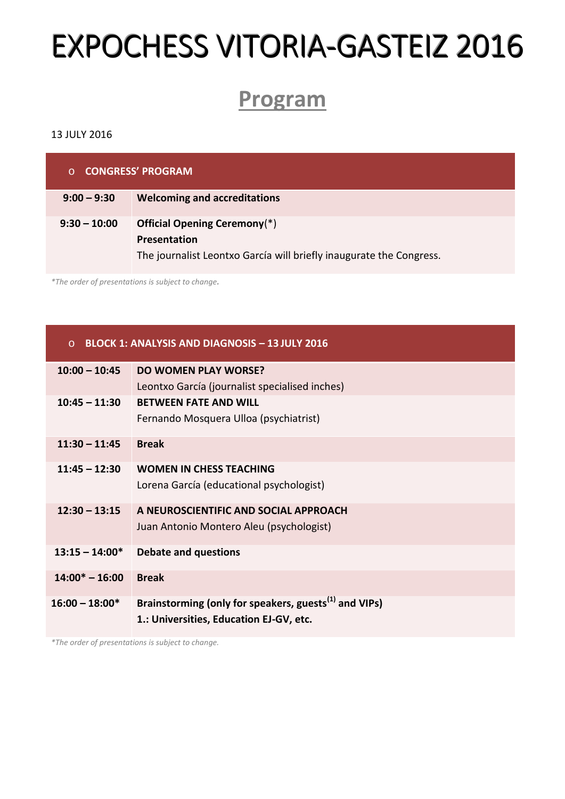# **EXPOCHESS VITORIA-GASTEIZ 2016**

## **Program**

#### 13 JULY 2016

| <b>CONGRESS' PROGRAM</b><br>$\Omega$ |                                                                                                                             |  |
|--------------------------------------|-----------------------------------------------------------------------------------------------------------------------------|--|
| $9:00 - 9:30$                        | <b>Welcoming and accreditations</b>                                                                                         |  |
| $9:30 - 10:00$                       | <b>Official Opening Ceremony</b> (*)<br>Presentation<br>The journalist Leontxo García will briefly inaugurate the Congress. |  |

*\*The order of presentations is subject to change.*

#### o **BLOCK 1: ANALYSIS AND DIAGNOSIS – 13 JULY 2016**

| $10:00 - 10:45$   | <b>DO WOMEN PLAY WORSE?</b>                                       |
|-------------------|-------------------------------------------------------------------|
|                   | Leontxo García (journalist specialised inches)                    |
| $10:45 - 11:30$   | <b>BETWEEN FATE AND WILL</b>                                      |
|                   | Fernando Mosquera Ulloa (psychiatrist)                            |
| $11:30 - 11:45$   | <b>Break</b>                                                      |
| $11:45 - 12:30$   | <b>WOMEN IN CHESS TEACHING</b>                                    |
|                   | Lorena García (educational psychologist)                          |
| $12:30 - 13:15$   | A NEUROSCIENTIFIC AND SOCIAL APPROACH                             |
|                   | Juan Antonio Montero Aleu (psychologist)                          |
| $13:15 - 14:00*$  | <b>Debate and questions</b>                                       |
| $14:00^* - 16:00$ | <b>Break</b>                                                      |
| $16:00 - 18:00*$  | Brainstorming (only for speakers, guests <sup>(1)</sup> and VIPs) |
|                   | 1.: Universities, Education EJ-GV, etc.                           |

*\*The order of presentations is subject to change.*